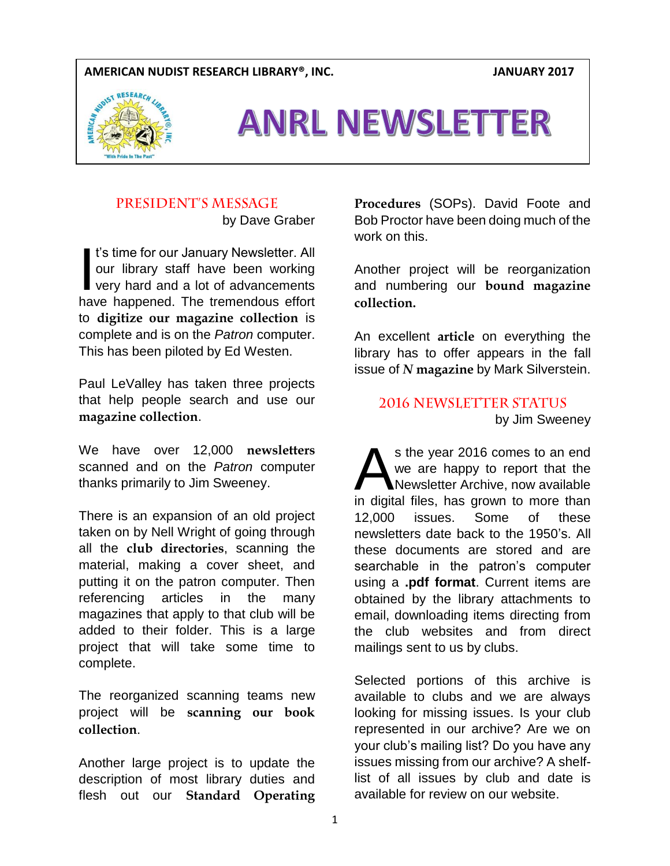### **AMERICAN NUDIST RESEARCH LIBRARY®, INC. JANUARY 2017**



# ANRL NEWSLETTER

# PRESIDENT'S MESSAGE

by Dave Graber

t's time for our January Newsletter. All our library staff have been working very hard and a lot of advancements have happened. The tremendous effort to **digitize our magazine collection** is complete and is on the *Patron* computer. This has been piloted by Ed Westen.  $\overline{\phantom{a}}$ 

Paul LeValley has taken three projects that help people search and use our **magazine collection**.

We have over 12,000 **newsletters** scanned and on the *Patron* computer thanks primarily to Jim Sweeney.

There is an expansion of an old project taken on by Nell Wright of going through all the **club directories**, scanning the material, making a cover sheet, and putting it on the patron computer. Then referencing articles in the many magazines that apply to that club will be added to their folder. This is a large project that will take some time to complete.

The reorganized scanning teams new project will be **scanning our book collection**.

Another large project is to update the description of most library duties and flesh out our **Standard Operating**  **Procedures** (SOPs). David Foote and Bob Proctor have been doing much of the work on this.

Another project will be reorganization and numbering our **bound magazine collection.**

An excellent **article** on everything the library has to offer appears in the fall issue of *N* **magazine** by Mark Silverstein.

**2016 NEWSLETTER STATUS** by Jim Sweeney

s the year 2016 comes to an end we are happy to report that the Newsletter Archive, now available s the year 2016 comes to an end<br>we are happy to report that the<br>Newsletter Archive, now available<br>in digital files, has grown to more than 12,000 issues. Some of these newsletters date back to the 1950's. All these documents are stored and are searchable in the patron's computer using a **.pdf format**. Current items are obtained by the library attachments to email, downloading items directing from the club websites and from direct mailings sent to us by clubs.

Selected portions of this archive is available to clubs and we are always looking for missing issues. Is your club represented in our archive? Are we on your club's mailing list? Do you have any issues missing from our archive? A shelflist of all issues by club and date is available for review on our website.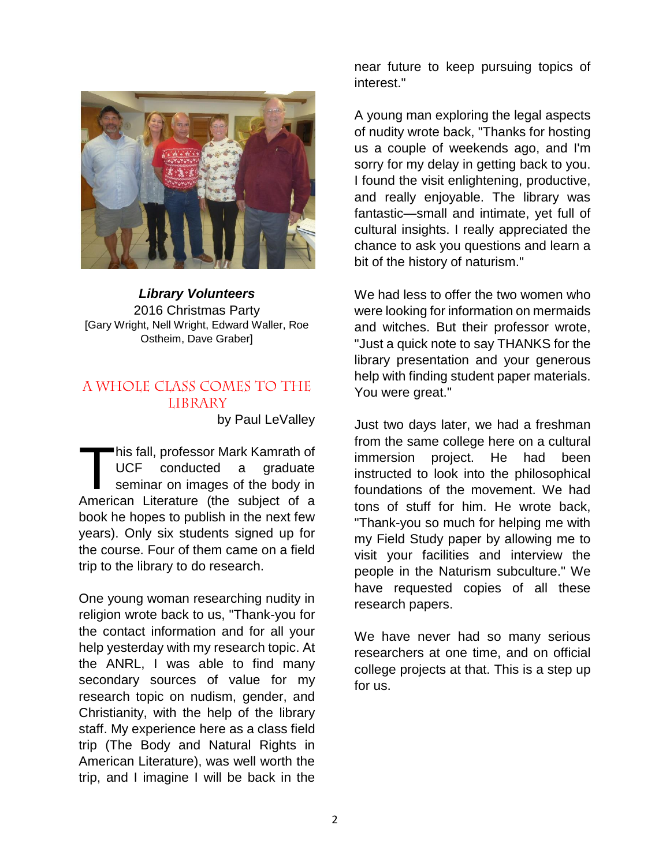

*Library Volunteers* 2016 Christmas Party [Gary Wright, Nell Wright, Edward Waller, Roe Ostheim, Dave Graber]

# A WHOLE CLASS COMES TO THE **LIBRARY**

by Paul LeValley

his fall, professor Mark Kamrath of UCF conducted a graduate seminar on images of the body in This fall, professor Mark Kamrath of<br>UCF conducted a graduate<br>seminar on images of the body in<br>American Literature (the subject of a book he hopes to publish in the next few years). Only six students signed up for the course. Four of them came on a field trip to the library to do research.

One young woman researching nudity in religion wrote back to us, "Thank-you for the contact information and for all your help yesterday with my research topic. At the ANRL, I was able to find many secondary sources of value for my research topic on nudism, gender, and Christianity, with the help of the library staff. My experience here as a class field trip (The Body and Natural Rights in American Literature), was well worth the trip, and I imagine I will be back in the

near future to keep pursuing topics of interest."

A young man exploring the legal aspects of nudity wrote back, "Thanks for hosting us a couple of weekends ago, and I'm sorry for my delay in getting back to you. I found the visit enlightening, productive, and really enjoyable. The library was fantastic—small and intimate, yet full of cultural insights. I really appreciated the chance to ask you questions and learn a bit of the history of naturism."

We had less to offer the two women who were looking for information on mermaids and witches. But their professor wrote, "Just a quick note to say THANKS for the library presentation and your generous help with finding student paper materials. You were great."

Just two days later, we had a freshman from the same college here on a cultural immersion project. He had been instructed to look into the philosophical foundations of the movement. We had tons of stuff for him. He wrote back, "Thank-you so much for helping me with my Field Study paper by allowing me to visit your facilities and interview the people in the Naturism subculture." We have requested copies of all these research papers.

We have never had so many serious researchers at one time, and on official college projects at that. This is a step up for us.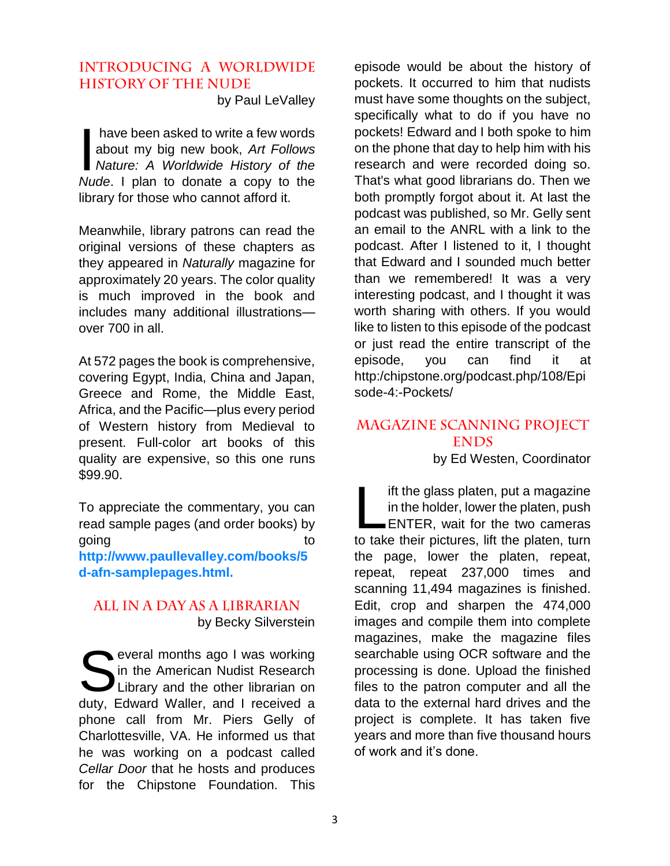# **INTRODUCING A WORLDWIDE HISTORY OF THE NUDE**

by Paul LeValley

have been asked to write a few words about my big new book, *Art Follows Nature: A Worldwide History of the Nude*. I plan to donate a copy to the library for those who cannot afford it.  $\overline{\phantom{a}}$ 

Meanwhile, library patrons can read the original versions of these chapters as they appeared in *Naturally* magazine for approximately 20 years. The color quality is much improved in the book and includes many additional illustrations over 700 in all.

At 572 pages the book is comprehensive, covering Egypt, India, China and Japan, Greece and Rome, the Middle East, Africa, and the Pacific—plus every period of Western history from Medieval to present. Full-color art books of this quality are expensive, so this one runs \$99.90.

To appreciate the commentary, you can read sample pages (and order books) by going to the contract of the contract of the contract of the contract of the contract of the contract of the contract of the contract of the contract of the contract of the contract of the contract of the contract of the c

**http://www.paullevalley.com/books/5 d-afn-samplepages.html.**

# ALL IN A DAY AS A LIBRARIAN by Becky Silverstein

Several months ago I was working<br>
in the American Nudist Research<br>
Library and the other librarian on in the American Nudist Research Library and the other librarian on duty, Edward Waller, and I received a phone call from Mr. Piers Gelly of Charlottesville, VA. He informed us that he was working on a podcast called *Cellar Door* that he hosts and produces for the Chipstone Foundation. This

episode would be about the history of pockets. It occurred to him that nudists must have some thoughts on the subject, specifically what to do if you have no pockets! Edward and I both spoke to him on the phone that day to help him with his research and were recorded doing so. That's what good librarians do. Then we both promptly forgot about it. At last the podcast was published, so Mr. Gelly sent an email to the ANRL with a link to the podcast. After I listened to it, I thought that Edward and I sounded much better than we remembered! It was a very interesting podcast, and I thought it was worth sharing with others. If you would like to listen to this episode of the podcast or just read the entire transcript of the episode, you can find it at http:/chipstone.org/podcast.php/108/Epi sode-4:-Pockets/

# MAGAZINE SCANNING PROJECT **ENDS**

by Ed Westen, Coordinator

ift the glass platen, put a magazine in the holder, lower the platen, push **ENTER, wait for the two cameras** ift the glass platen, put a magazine<br>in the holder, lower the platen, push<br>ENTER, wait for the two cameras<br>to take their pictures, lift the platen, turn the page, lower the platen, repeat, repeat, repeat 237,000 times and scanning 11,494 magazines is finished. Edit, crop and sharpen the 474,000 images and compile them into complete magazines, make the magazine files searchable using OCR software and the processing is done. Upload the finished files to the patron computer and all the data to the external hard drives and the project is complete. It has taken five years and more than five thousand hours of work and it's done.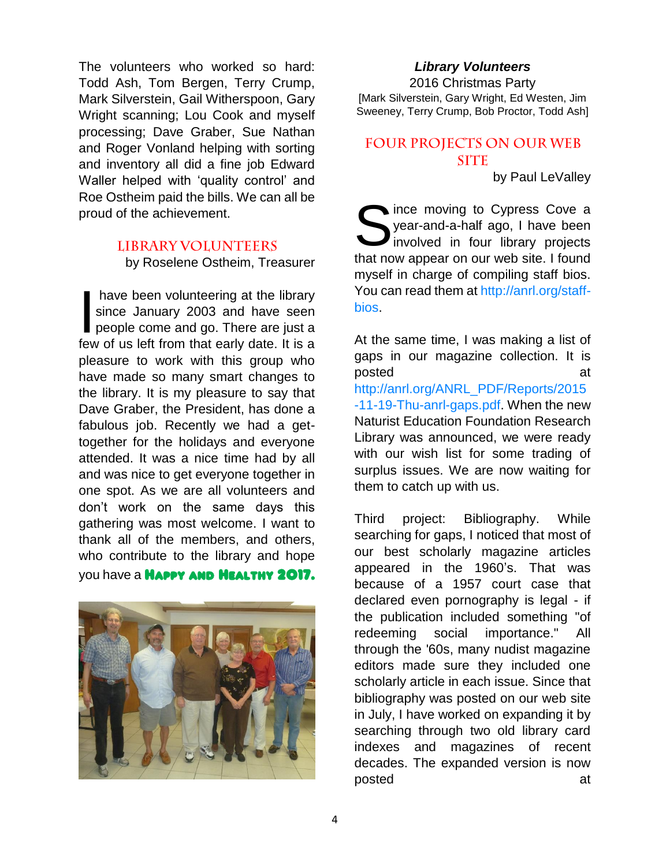The volunteers who worked so hard: Todd Ash, Tom Bergen, Terry Crump, Mark Silverstein, Gail Witherspoon, Gary Wright scanning; Lou Cook and myself processing; Dave Graber, Sue Nathan and Roger Vonland helping with sorting and inventory all did a fine job Edward Waller helped with 'quality control' and Roe Ostheim paid the bills. We can all be proud of the achievement.

#### **LIBRARY VOLUNTEERS**

by Roselene Ostheim, Treasurer

have been volunteering at the library since January 2003 and have seen people come and go. There are just a have been volunteering at the library<br>since January 2003 and have seen<br>people come and go. There are just a<br>few of us left from that early date. It is a pleasure to work with this group who have made so many smart changes to the library. It is my pleasure to say that Dave Graber, the President, has done a fabulous job. Recently we had a gettogether for the holidays and everyone attended. It was a nice time had by all and was nice to get everyone together in one spot. As we are all volunteers and don't work on the same days this gathering was most welcome. I want to thank all of the members, and others, who contribute to the library and hope you have a **HAPPY AND HEALTHY 2017.** 



*Library Volunteers* 2016 Christmas Party [Mark Silverstein, Gary Wright, Ed Westen, Jim Sweeney, Terry Crump, Bob Proctor, Todd Ash]

# FOUR PROJECTS ON OUR WEB **SITE**

by Paul LeValley

ince moving to Cypress Cove a year-and-a-half ago, I have been involved in four library projects Since moving to Cypress Cove a<br>
year-and-a-half ago, I have been<br>
involved in four library projects<br>
that now appear on our web site. I found myself in charge of compiling staff bios. You can read them at http://anrl.org/staffbios.

At the same time, I was making a list of gaps in our magazine collection. It is posted at a new state at a contract at a contract and a contract at a contract at a contract at a contract at  $\alpha$ http://anrl.org/ANRL\_PDF/Reports/2015 -11-19-Thu-anrl-gaps.pdf. When the new Naturist Education Foundation Research Library was announced, we were ready with our wish list for some trading of surplus issues. We are now waiting for them to catch up with us.

Third project: Bibliography. While searching for gaps, I noticed that most of our best scholarly magazine articles appeared in the 1960's. That was because of a 1957 court case that declared even pornography is legal - if the publication included something "of redeeming social importance." All through the '60s, many nudist magazine editors made sure they included one scholarly article in each issue. Since that bibliography was posted on our web site in July, I have worked on expanding it by searching through two old library card indexes and magazines of recent decades. The expanded version is now posted at a structure at a structure at a structure at a structure at a structure at a structure at a structure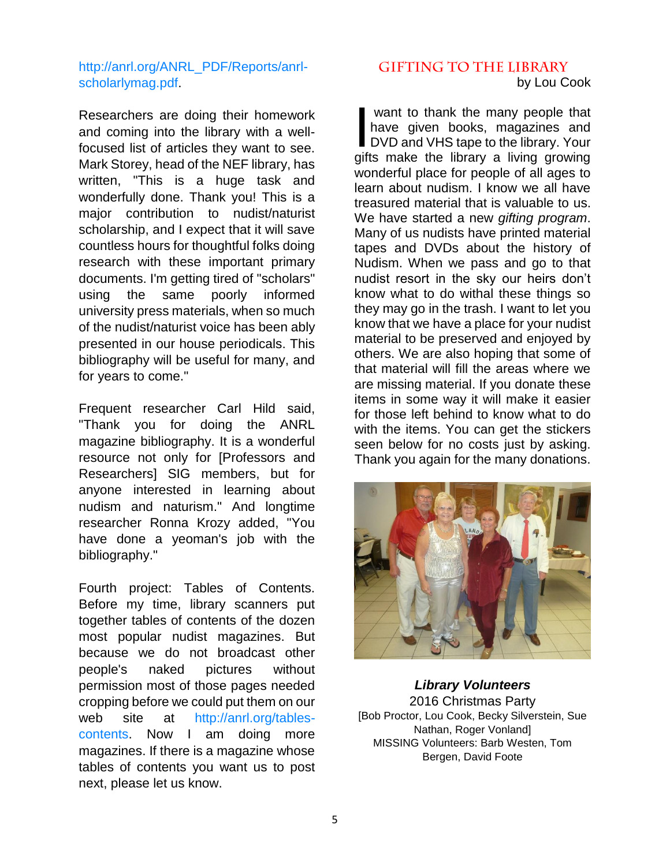# http://anrl.org/ANRL\_PDF/Reports/anrlscholarlymag.pdf.

Researchers are doing their homework and coming into the library with a wellfocused list of articles they want to see. Mark Storey, head of the NEF library, has written, "This is a huge task and wonderfully done. Thank you! This is a major contribution to nudist/naturist scholarship, and I expect that it will save countless hours for thoughtful folks doing research with these important primary documents. I'm getting tired of "scholars" using the same poorly informed university press materials, when so much of the nudist/naturist voice has been ably presented in our house periodicals. This bibliography will be useful for many, and for years to come."

Frequent researcher Carl Hild said, "Thank you for doing the ANRL magazine bibliography. It is a wonderful resource not only for [Professors and Researchers] SIG members, but for anyone interested in learning about nudism and naturism." And longtime researcher Ronna Krozy added, "You have done a yeoman's job with the bibliography."

Fourth project: Tables of Contents. Before my time, library scanners put together tables of contents of the dozen most popular nudist magazines. But because we do not broadcast other people's naked pictures without permission most of those pages needed cropping before we could put them on our web site at http://anrl.org/tablescontents. Now I am doing more magazines. If there is a magazine whose tables of contents you want us to post next, please let us know.

# **GIFTING TO THE LIBRARY** by Lou Cook

want to thank the many people that have given books, magazines and want to thank the many people that<br>have given books, magazines and<br>DVD and VHS tape to the library. Your gifts make the library a living growing wonderful place for people of all ages to learn about nudism. I know we all have treasured material that is valuable to us. We have started a new *gifting program*. Many of us nudists have printed material tapes and DVDs about the history of Nudism. When we pass and go to that nudist resort in the sky our heirs don't know what to do withal these things so they may go in the trash. I want to let you know that we have a place for your nudist material to be preserved and enjoyed by others. We are also hoping that some of that material will fill the areas where we are missing material. If you donate these items in some way it will make it easier for those left behind to know what to do with the items. You can get the stickers seen below for no costs just by asking. Thank you again for the many donations.



*Library Volunteers* 2016 Christmas Party [Bob Proctor, Lou Cook, Becky Silverstein, Sue Nathan, Roger Vonland] MISSING Volunteers: Barb Westen, Tom Bergen, David Foote